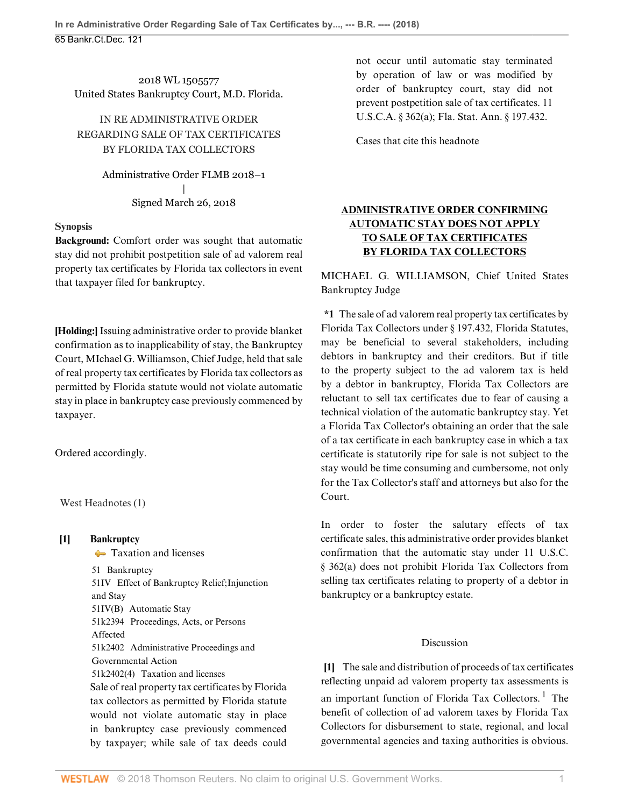2018 WL 1505577 United States Bankruptcy Court, M.D. Florida.

IN RE ADMINISTRATIVE ORDER REGARDING SALE OF TAX CERTIFICATES BY FLORIDA TAX COLLECTORS

> Administrative Order FLMB 2018–1 | Signed March 26, 2018

#### **Synopsis**

**Background:** Comfort order was sought that automatic stay did not prohibit postpetition sale of ad valorem real property tax certificates by Florida tax collectors in event that taxpayer filed for bankruptcy.

**[Holding:]** Issuing administrative order to provide blanket confirmation as to inapplicability of stay, the Bankruptcy Court, [MIchael G. Williamson](http://www.westlaw.com/Link/Document/FullText?findType=h&pubNum=176284&cite=0140045601&originatingDoc=I0b7356b0325411e8a70fc9d8a0b2aef5&refType=RQ&originationContext=document&vr=3.0&rs=cblt1.0&transitionType=DocumentItem&contextData=(sc.PubAlert)), Chief Judge, held that sale of real property tax certificates by Florida tax collectors as permitted by Florida statute would not violate automatic stay in place in bankruptcy case previously commenced by taxpayer.

Ordered accordingly.

West Headnotes (1)

### <span id="page-0-0"></span>**[1] [Bankruptcy](http://www.westlaw.com/Browse/Home/KeyNumber/51/View.html?docGuid=I0b7356b0325411e8a70fc9d8a0b2aef5&originationContext=document&vr=3.0&rs=cblt1.0&transitionType=DocumentItem&contextData=(sc.PubAlert))**

**[Taxation and licenses](http://www.westlaw.com/Browse/Home/KeyNumber/51k2402(4)/View.html?docGuid=I0b7356b0325411e8a70fc9d8a0b2aef5&originationContext=document&vr=3.0&rs=cblt1.0&transitionType=DocumentItem&contextData=(sc.PubAlert))** [51](http://www.westlaw.com/Browse/Home/KeyNumber/51/View.html?docGuid=I0b7356b0325411e8a70fc9d8a0b2aef5&originationContext=document&vr=3.0&rs=cblt1.0&transitionType=DocumentItem&contextData=(sc.PubAlert)) Bankruptcy [51IV](http://www.westlaw.com/Browse/Home/KeyNumber/51IV/View.html?docGuid=I0b7356b0325411e8a70fc9d8a0b2aef5&originationContext=document&vr=3.0&rs=cblt1.0&transitionType=DocumentItem&contextData=(sc.PubAlert)) Effect of Bankruptcy Relief; Injunction and Stay [51IV\(B\)](http://www.westlaw.com/Browse/Home/KeyNumber/51IV(B)/View.html?docGuid=I0b7356b0325411e8a70fc9d8a0b2aef5&originationContext=document&vr=3.0&rs=cblt1.0&transitionType=DocumentItem&contextData=(sc.PubAlert)) Automatic Stay [51k2394](http://www.westlaw.com/Browse/Home/KeyNumber/51k2394/View.html?docGuid=I0b7356b0325411e8a70fc9d8a0b2aef5&originationContext=document&vr=3.0&rs=cblt1.0&transitionType=DocumentItem&contextData=(sc.PubAlert)) Proceedings, Acts, or Persons Affected [51k2402](http://www.westlaw.com/Browse/Home/KeyNumber/51k2402/View.html?docGuid=I0b7356b0325411e8a70fc9d8a0b2aef5&originationContext=document&vr=3.0&rs=cblt1.0&transitionType=DocumentItem&contextData=(sc.PubAlert)) Administrative Proceedings and Governmental Action [51k2402\(4\)](http://www.westlaw.com/Browse/Home/KeyNumber/51k2402(4)/View.html?docGuid=I0b7356b0325411e8a70fc9d8a0b2aef5&originationContext=document&vr=3.0&rs=cblt1.0&transitionType=DocumentItem&contextData=(sc.PubAlert)) Taxation and licenses Sale of real property tax certificates by Florida tax collectors as permitted by Florida statute would not violate automatic stay in place in bankruptcy case previously commenced by taxpayer; while sale of tax deeds could not occur until automatic stay terminated by operation of law or was modified by order of bankruptcy court, stay did not prevent postpetition sale of tax certificates. [11](http://www.westlaw.com/Link/Document/FullText?findType=L&pubNum=1000546&cite=11USCAS362&originatingDoc=I0b7356b0325411e8a70fc9d8a0b2aef5&refType=SP&originationContext=document&vr=3.0&rs=cblt1.0&transitionType=DocumentItem&contextData=(sc.PubAlert)#co_pp_8b3b0000958a4) [U.S.C.A. § 362\(a\)](http://www.westlaw.com/Link/Document/FullText?findType=L&pubNum=1000546&cite=11USCAS362&originatingDoc=I0b7356b0325411e8a70fc9d8a0b2aef5&refType=SP&originationContext=document&vr=3.0&rs=cblt1.0&transitionType=DocumentItem&contextData=(sc.PubAlert)#co_pp_8b3b0000958a4); [Fla. Stat. Ann. § 197.432.](http://www.westlaw.com/Link/Document/FullText?findType=L&pubNum=1000006&cite=FLSTS197.432&originatingDoc=I0b7356b0325411e8a70fc9d8a0b2aef5&refType=LQ&originationContext=document&vr=3.0&rs=cblt1.0&transitionType=DocumentItem&contextData=(sc.PubAlert))

[Cases that cite this headnote](http://www.westlaw.com/Link/RelatedInformation/DocHeadnoteLink?docGuid=I0b7356b0325411e8a70fc9d8a0b2aef5&headnoteId=204416621900120180502115145&originationContext=document&vr=3.0&rs=cblt1.0&transitionType=CitingReferences&contextData=(sc.PubAlert))

# **ADMINISTRATIVE ORDER CONFIRMING AUTOMATIC STAY DOES NOT APPLY TO SALE OF TAX CERTIFICATES BY FLORIDA TAX COLLECTORS**

MICHAEL G. WILLIAMSON, Chief United States Bankruptcy Judge

**\*1** The sale of ad valorem real property tax certificates by Florida Tax Collectors under [§ 197.432, Florida Statutes](http://www.westlaw.com/Link/Document/FullText?findType=L&pubNum=1000006&cite=FLSTS197.432&originatingDoc=I0b7356b0325411e8a70fc9d8a0b2aef5&refType=LQ&originationContext=document&vr=3.0&rs=cblt1.0&transitionType=DocumentItem&contextData=(sc.PubAlert)), may be beneficial to several stakeholders, including debtors in bankruptcy and their creditors. But if title to the property subject to the ad valorem tax is held by a debtor in bankruptcy, Florida Tax Collectors are reluctant to sell tax certificates due to fear of causing a technical violation of the automatic bankruptcy stay. Yet a Florida Tax Collector's obtaining an order that the sale of a tax certificate in each bankruptcy case in which a tax certificate is statutorily ripe for sale is not subject to the stay would be time consuming and cumbersome, not only for the Tax Collector's staff and attorneys but also for the Court.

In order to foster the salutary effects of tax certificate sales, this administrative order provides blanket confirmation that the automatic stay under [11 U.S.C.](http://www.westlaw.com/Link/Document/FullText?findType=L&pubNum=1000546&cite=11USCAS362&originatingDoc=I0b7356b0325411e8a70fc9d8a0b2aef5&refType=SP&originationContext=document&vr=3.0&rs=cblt1.0&transitionType=DocumentItem&contextData=(sc.PubAlert)#co_pp_8b3b0000958a4) [§ 362\(a\)](http://www.westlaw.com/Link/Document/FullText?findType=L&pubNum=1000546&cite=11USCAS362&originatingDoc=I0b7356b0325411e8a70fc9d8a0b2aef5&refType=SP&originationContext=document&vr=3.0&rs=cblt1.0&transitionType=DocumentItem&contextData=(sc.PubAlert)#co_pp_8b3b0000958a4) does not prohibit Florida Tax Collectors from selling tax certificates relating to property of a debtor in bankruptcy or a bankruptcy estate.

#### <span id="page-0-1"></span>Discussion

**[\[1](#page-0-0)]** The sale and distribution of proceeds of tax certificates reflecting unpaid ad valorem property tax assessments is an important function of Florida Tax Collectors.<sup>[1](#page-1-0)</sup> The benefit of collection of ad valorem taxes by Florida Tax Collectors for disbursement to state, regional, and local governmental agencies and taxing authorities is obvious.